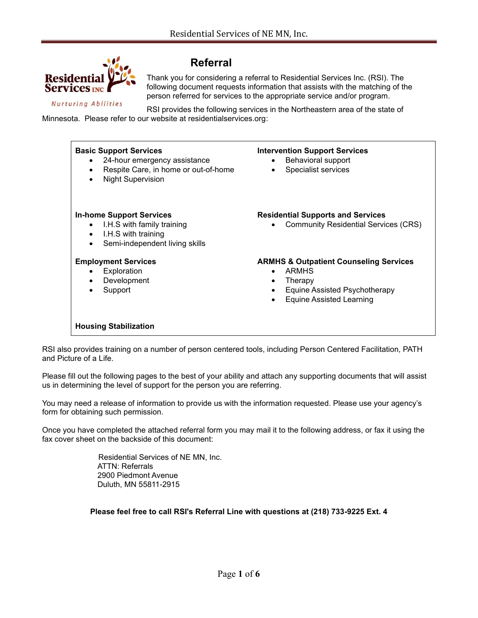

### **Referral**

Thank you for considering a referral to Residential Services Inc. (RSI). The following document requests information that assists with the matching of the person referred for services to the appropriate service and/or program.

**Nurturing Abilities** 

RSI provides the following services in the Northeastern area of the state of Minnesota. Please refer to our website at residentialservices.org:



RSI also provides training on a number of person centered tools, including Person Centered Facilitation, PATH and Picture of a Life.

Please fill out the following pages to the best of your ability and attach any supporting documents that will assist us in determining the level of support for the person you are referring.

You may need a release of information to provide us with the information requested. Please use your agency's form for obtaining such permission.

Once you have completed the attached referral form you may mail it to the following address, or fax it using the fax cover sheet on the backside of this document:

> Residential Services of NE MN, Inc. ATTN: Referrals 2900 Piedmont Avenue Duluth, MN 55811-2915

**Please feel free to call RSI's Referral Line with questions at (218) 733-9225 Ext. 4**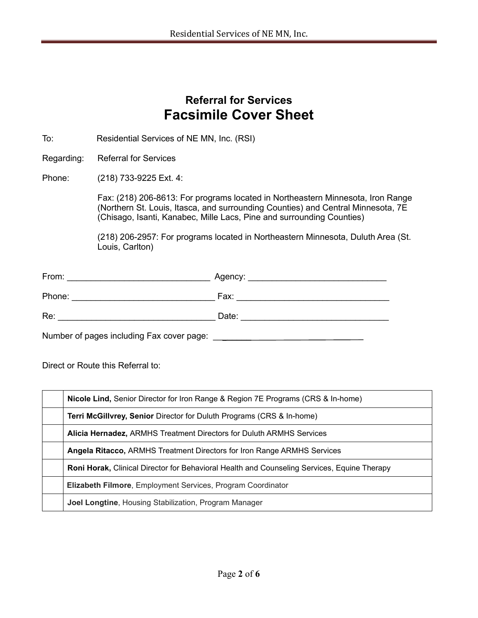# **Referral for Services Facsimile Cover Sheet**

To: Residential Services of NE MN, Inc. (RSI)

Regarding: Referral for Services

#### Phone: (218) 733-9225 Ext. 4:

Fax: (218) 206-8613: For programs located in Northeastern Minnesota, Iron Range (Northern St. Louis, Itasca, and surrounding Counties) and Central Minnesota, 7E (Chisago, Isanti, Kanabec, Mille Lacs, Pine and surrounding Counties)

(218) 206-2957: For programs located in Northeastern Minnesota, Duluth Area (St. Louis, Carlton)

| From:  | Agency: |
|--------|---------|
| Phone: | Fax:    |
| Re:    | Date:   |

Number of pages including Fax cover page: \_\_\_\_\_\_\_\_

Direct or Route this Referral to:

| Nicole Lind, Senior Director for Iron Range & Region 7E Programs (CRS & In-home)                   |  |
|----------------------------------------------------------------------------------------------------|--|
| Terri McGillvrey, Senior Director for Duluth Programs (CRS & In-home)                              |  |
| <b>Alicia Hernadez, ARMHS Treatment Directors for Duluth ARMHS Services</b>                        |  |
| <b>Angela Ritacco, ARMHS Treatment Directors for Iron Range ARMHS Services</b>                     |  |
| <b>Roni Horak,</b> Clinical Director for Behavioral Health and Counseling Services, Equine Therapy |  |
| <b>Elizabeth Filmore, Employment Services, Program Coordinator</b>                                 |  |
| <b>Joel Longtine, Housing Stabilization, Program Manager</b>                                       |  |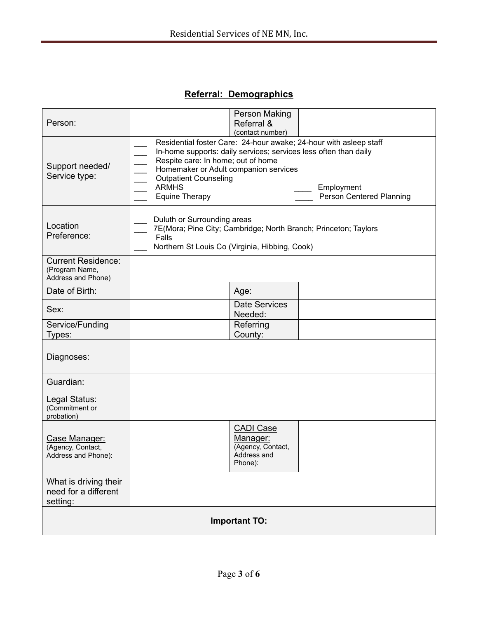## **Referral: Demographics**

| Person:                                                           |                                                                                                                                                           | Person Making<br>Referral &<br>(contact number)                             |                                                                                                                                                                                 |
|-------------------------------------------------------------------|-----------------------------------------------------------------------------------------------------------------------------------------------------------|-----------------------------------------------------------------------------|---------------------------------------------------------------------------------------------------------------------------------------------------------------------------------|
| Support needed/<br>Service type:                                  | Respite care: In home; out of home<br>Homemaker or Adult companion services<br><b>Outpatient Counseling</b><br><b>ARMHS</b><br><b>Equine Therapy</b>      |                                                                             | Residential foster Care: 24-hour awake; 24-hour with asleep staff<br>In-home supports: daily services; services less often than daily<br>Employment<br>Person Centered Planning |
| Location<br>Preference:                                           | Duluth or Surrounding areas<br>7E(Mora; Pine City; Cambridge; North Branch; Princeton; Taylors<br>Falls<br>Northern St Louis Co (Virginia, Hibbing, Cook) |                                                                             |                                                                                                                                                                                 |
| <b>Current Residence:</b><br>(Program Name,<br>Address and Phone) |                                                                                                                                                           |                                                                             |                                                                                                                                                                                 |
| Date of Birth:                                                    |                                                                                                                                                           | Age:                                                                        |                                                                                                                                                                                 |
| Sex:                                                              |                                                                                                                                                           | <b>Date Services</b><br>Needed:                                             |                                                                                                                                                                                 |
| Service/Funding<br>Types:                                         |                                                                                                                                                           | Referring<br>County:                                                        |                                                                                                                                                                                 |
| Diagnoses:                                                        |                                                                                                                                                           |                                                                             |                                                                                                                                                                                 |
| Guardian:                                                         |                                                                                                                                                           |                                                                             |                                                                                                                                                                                 |
| Legal Status:<br>(Commitment or<br>probation)                     |                                                                                                                                                           |                                                                             |                                                                                                                                                                                 |
| Case Manager:<br>(Agency, Contact,<br>Address and Phone):         |                                                                                                                                                           | <b>CADI Case</b><br>Manager:<br>(Agency, Contact,<br>Address and<br>Phone): |                                                                                                                                                                                 |
| What is driving their<br>need for a different<br>setting:         |                                                                                                                                                           |                                                                             |                                                                                                                                                                                 |
| <b>Important TO:</b>                                              |                                                                                                                                                           |                                                                             |                                                                                                                                                                                 |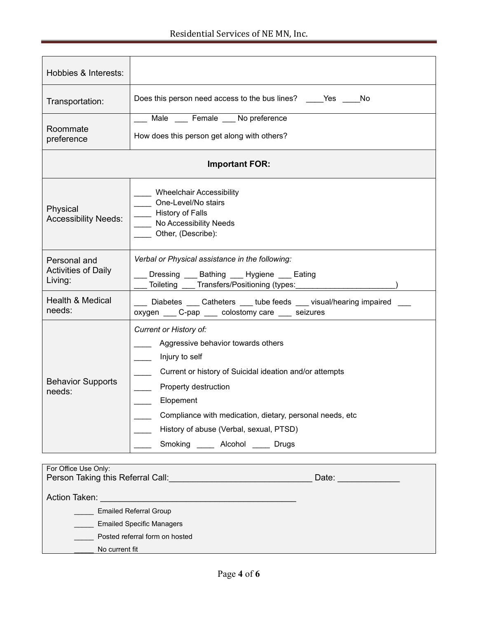| Hobbies & Interests:                                  |                                                                                                                                                                                                                                                                                                                                                                               |  |
|-------------------------------------------------------|-------------------------------------------------------------------------------------------------------------------------------------------------------------------------------------------------------------------------------------------------------------------------------------------------------------------------------------------------------------------------------|--|
| Transportation:                                       | Does this person need access to the bus lines? _______ Yes ______ No                                                                                                                                                                                                                                                                                                          |  |
| Roommate<br>preference                                | Male Female No preference<br>How does this person get along with others?                                                                                                                                                                                                                                                                                                      |  |
| <b>Important FOR:</b>                                 |                                                                                                                                                                                                                                                                                                                                                                               |  |
| Physical<br><b>Accessibility Needs:</b>               | Wheelchair Accessibility<br>One-Level/No stairs<br>History of Falls<br>No Accessibility Needs<br>Other, (Describe):                                                                                                                                                                                                                                                           |  |
| Personal and<br><b>Activities of Daily</b><br>Living: | Verbal or Physical assistance in the following:<br>Dressing Bathing Hygiene Eating<br>____ Toileting ____ Transfers/Positioning (types: ________________________)                                                                                                                                                                                                             |  |
| Health & Medical<br>needs:                            | Diabetes Catheters tube feeds visual/hearing impaired<br>oxygen ____ C-pap ____ colostomy care ____ seizures                                                                                                                                                                                                                                                                  |  |
| <b>Behavior Supports</b><br>needs:                    | Current or History of:<br>Aggressive behavior towards others<br>Injury to self<br>$\sim 10^{-11}$<br>Current or history of Suicidal ideation and/or attempts<br>Property destruction<br>Elopement<br>$\mathcal{L}^{\mathcal{L}}$<br>Compliance with medication, dietary, personal needs, etc<br>History of abuse (Verbal, sexual, PTSD)<br>Smoking ______ Alcohol _____ Drugs |  |

| For Office Use Only:              |       |  |
|-----------------------------------|-------|--|
| Person Taking this Referral Call: | Date: |  |
|                                   |       |  |
| Action Taken:                     |       |  |
| <b>Emailed Referral Group</b>     |       |  |
| <b>Emailed Specific Managers</b>  |       |  |
| Posted referral form on hosted    |       |  |
| No current fit                    |       |  |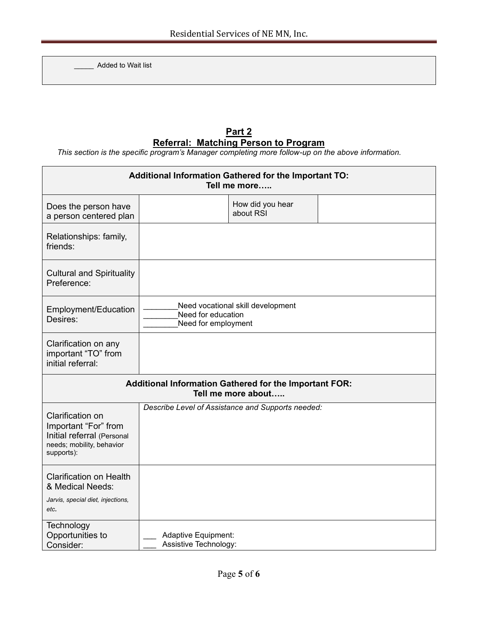Added to Wait list

### **Part 2 Referral: Matching Person to Program**

*This section is the specific program's Manager completing more follow-up on the above information.*

| Additional Information Gathered for the Important TO:<br>Tell me more                                                    |                                                   |                                   |  |
|--------------------------------------------------------------------------------------------------------------------------|---------------------------------------------------|-----------------------------------|--|
| Does the person have<br>a person centered plan                                                                           |                                                   | How did you hear<br>about RSI     |  |
| Relationships: family,<br>friends:                                                                                       |                                                   |                                   |  |
| <b>Cultural and Spirituality</b><br>Preference:                                                                          |                                                   |                                   |  |
| Employment/Education<br>Desires:                                                                                         | Need for education<br>Need for employment         | Need vocational skill development |  |
| Clarification on any<br>important "TO" from<br>initial referral:                                                         |                                                   |                                   |  |
| Additional Information Gathered for the Important FOR:<br>Tell me more about                                             |                                                   |                                   |  |
| <b>Clarification on</b><br>Important "For" from<br>Initial referral (Personal<br>needs; mobility, behavior<br>supports): | Describe Level of Assistance and Supports needed: |                                   |  |
| <b>Clarification on Health</b><br>& Medical Needs:<br>Jarvis, special diet, injections,                                  |                                                   |                                   |  |
| etc.<br>Technology<br>Opportunities to<br>Consider:                                                                      | Adaptive Equipment:<br>Assistive Technology:      |                                   |  |